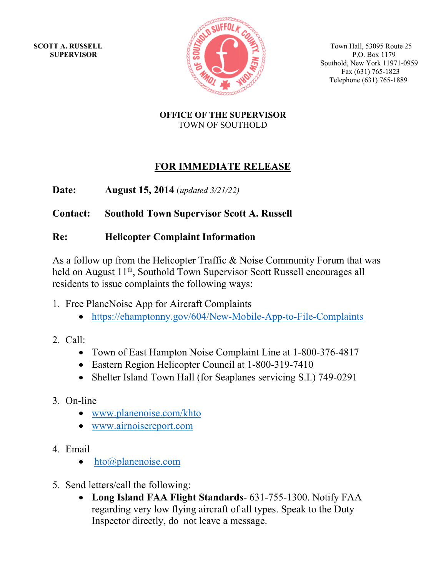

**SCOTT A. RUSSELL**  $\mathbb{Z}^{\leq n}$   $\mathbb{Z}^{\leq n}$   $\mathbb{Z}^{\leq n}$  Town Hall, 53095 Route 25 Southold, New York 11971-0959 Fax (631) 765-1823 Telephone (631) 765-1889

> **OFFICE OF THE SUPERVISOR**  TOWN OF SOUTHOLD

# **FOR IMMEDIATE RELEASE**

**Date: August 15, 2014** (*updated 3/21/22)*

# **Contact: Southold Town Supervisor Scott A. Russell**

# **Re: Helicopter Complaint Information**

As a follow up from the Helicopter Traffic & Noise Community Forum that was held on August 11<sup>th</sup>, Southold Town Supervisor Scott Russell encourages all residents to issue complaints the following ways:

- 1. Free PlaneNoise App for Aircraft Complaints
	- https://ehamptonny.gov/604/New-Mobile-App-to-File-Complaints
- 2. Call:
	- Town of East Hampton Noise Complaint Line at 1-800-376-4817
	- Eastern Region Helicopter Council at 1-800-319-7410
	- Shelter Island Town Hall (for Seaplanes servicing S.I.) 749-0291
- 3. On-line
	- www.planenoise.com/khto
	- www.airnoisereport.com
- 4. Email
	- hto@planenoise.com
- 5. Send letters/call the following:
	- **Long Island FAA Flight Standards** 631-755-1300. Notify FAA regarding very low flying aircraft of all types. Speak to the Duty Inspector directly, do not leave a message.